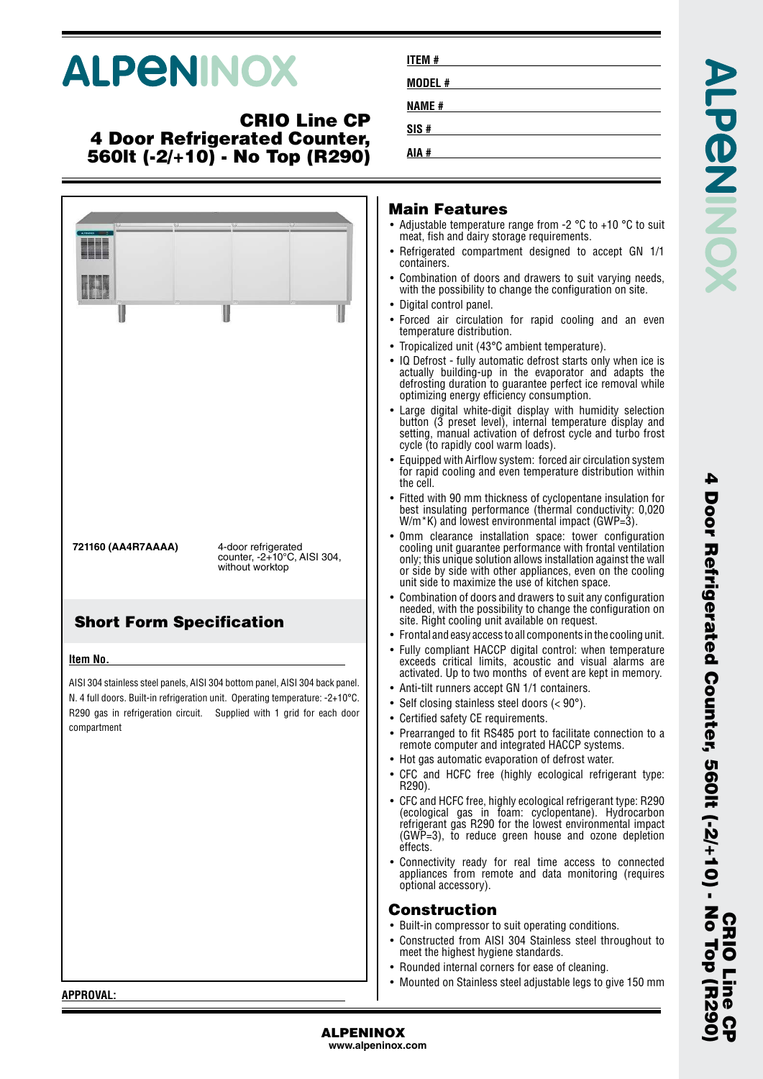# **ALPENINOX**

#### **CRIO Line CP 4 Door Refrigerated Counter, 560lt (-2/+10) - No Top (R290)**

|                                 |                                                                                                                                                        | <b>Main Features</b><br>• Adjustable temperature range from -2 $\degree$ C to +10 $\degree$ C to suit<br>meat, fish and dairy storage requirements.<br>• Refrigerated compartment designed to accept GN 1/1                                                                                                           |
|---------------------------------|--------------------------------------------------------------------------------------------------------------------------------------------------------|-----------------------------------------------------------------------------------------------------------------------------------------------------------------------------------------------------------------------------------------------------------------------------------------------------------------------|
|                                 |                                                                                                                                                        | containers.<br>• Combination of doors and drawers to suit varying needs,<br>with the possibility to change the configuration on site.                                                                                                                                                                                 |
|                                 |                                                                                                                                                        | • Digital control panel.<br>• Forced air circulation for rapid cooling and an even<br>temperature distribution.                                                                                                                                                                                                       |
|                                 |                                                                                                                                                        | • Tropicalized unit (43°C ambient temperature).<br>• IQ Defrost - fully automatic defrost starts only when ice is<br>actually building-up in the evaporator and adapts the<br>defrosting duration to guarantee perfect ice removal while<br>optimizing energy efficiency consumption.                                 |
|                                 |                                                                                                                                                        | • Large digital white-digit display with humidity selection<br>button (3 preset level), internal temperature display and<br>setting, manual activation of defrost cycle and turbo frost<br>cycle (to rapidly cool warm loads).                                                                                        |
|                                 |                                                                                                                                                        | • Equipped with Airflow system: forced air circulation system<br>for rapid cooling and even temperature distribution within<br>the cell.                                                                                                                                                                              |
|                                 |                                                                                                                                                        | • Fitted with 90 mm thickness of cyclopentane insulation for<br>best insulating performance (thermal conductivity: 0,020<br>$W/m*K$ ) and lowest environmental impact (GWP=3).                                                                                                                                        |
| 721160 (AA4R7AAAA)              | 4-door refrigerated<br>counter, -2+10°C, AISI 304,<br>without worktop                                                                                  | Omm clearance installation space: tower configuration<br>$\bullet$<br>cooling unit guarantee performance with frontal ventilation<br>only; this unique solution allows installation against the wall<br>or side by side with other appliances, even on the cooling<br>unit side to maximize the use of kitchen space. |
| <b>Short Form Specification</b> |                                                                                                                                                        | Combination of doors and drawers to suit any configuration<br>$\bullet$<br>needed, with the possibility to change the configuration on<br>site. Right cooling unit available on request.                                                                                                                              |
|                                 |                                                                                                                                                        | $\bullet$ Frontal and easy access to all components in the cooling unit.                                                                                                                                                                                                                                              |
| Item No.                        |                                                                                                                                                        | • Fully compliant HACCP digital control: when temperature<br>exceeds critical limits, acoustic and visual alarms are<br>activated. Up to two months of event are kept in memory.                                                                                                                                      |
|                                 | AISI 304 stainless steel panels, AISI 304 bottom panel, AISI 304 back panel.                                                                           | • Anti-tilt runners accept GN 1/1 containers.                                                                                                                                                                                                                                                                         |
|                                 | N. 4 full doors. Built-in refrigeration unit. Operating temperature: -2+10°C.<br>R290 gas in refrigeration circuit. Supplied with 1 grid for each door | • Self closing stainless steel doors $(< 90^\circ)$ .                                                                                                                                                                                                                                                                 |
| compartment                     |                                                                                                                                                        | • Certified safety CE requirements.                                                                                                                                                                                                                                                                                   |
|                                 |                                                                                                                                                        | • Prearranged to fit RS485 port to facilitate connection to a<br>remote computer and integrated HACCP systems.<br>• Hot gas automatic evaporation of defrost water.                                                                                                                                                   |
|                                 |                                                                                                                                                        | • CFC and HCFC free (highly ecological refrigerant type:                                                                                                                                                                                                                                                              |
|                                 |                                                                                                                                                        | R290).                                                                                                                                                                                                                                                                                                                |
|                                 |                                                                                                                                                        | • CFC and HCFC free, highly ecological refrigerant type: R290<br>(ecological gas in foam: cyclopentane). Hydrocarbon<br>refrigerant gas R290 for the lowest environmental impact<br>$(GWP=3)$ , to reduce green house and ozone depletion<br>effects.                                                                 |
|                                 |                                                                                                                                                        | • Connectivity ready for real time access to connected<br>appliances from remote and data monitoring (requires<br>optional accessory).                                                                                                                                                                                |
|                                 |                                                                                                                                                        | <b>Construction</b>                                                                                                                                                                                                                                                                                                   |
|                                 |                                                                                                                                                        | • Built-in compressor to suit operating conditions.                                                                                                                                                                                                                                                                   |
|                                 |                                                                                                                                                        | • Constructed from AISI 304 Stainless steel throughout to<br>meet the highest hygiene standards.                                                                                                                                                                                                                      |
|                                 |                                                                                                                                                        | • Rounded internal corners for ease of cleaning.                                                                                                                                                                                                                                                                      |
| APPROVAL:                       |                                                                                                                                                        | • Mounted on Stainless steel adjustable legs to give 150 mm                                                                                                                                                                                                                                                           |
|                                 |                                                                                                                                                        |                                                                                                                                                                                                                                                                                                                       |

**ITEM # MODEL # NAME # SIS # AIA #**

**ALPENINOX www.alpeninox.com**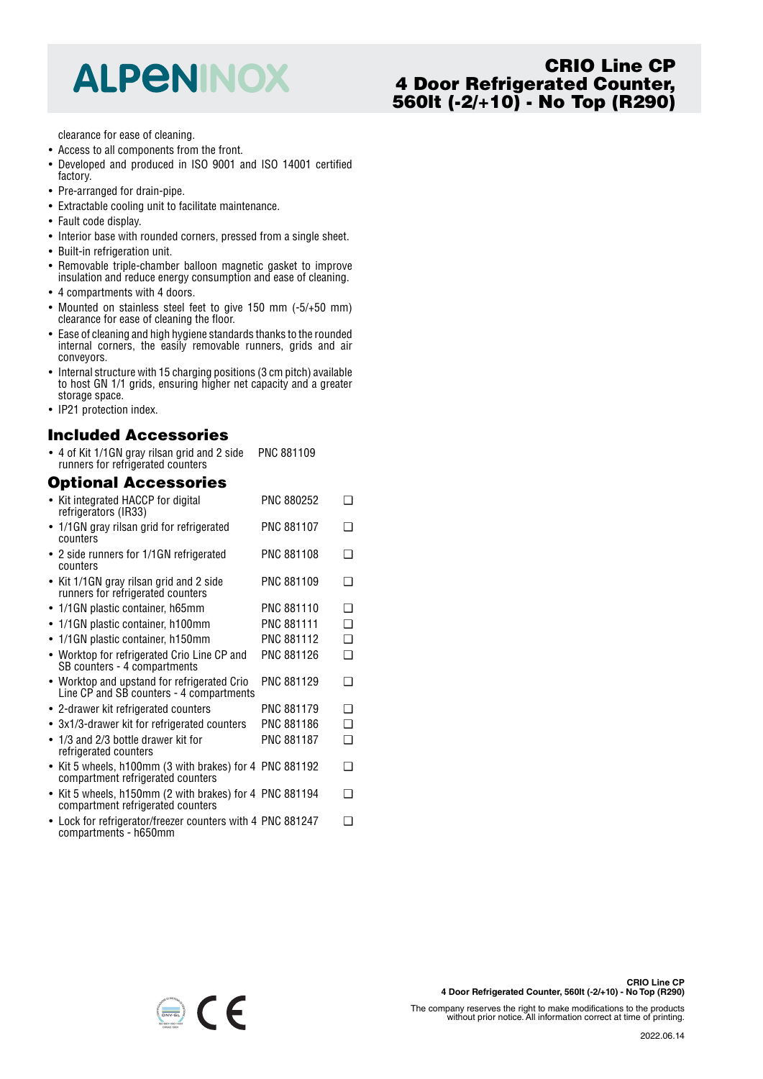## **ALPENINOX**

### **CRIO Line CP 4 Door Refrigerated Counter, 560lt (-2/+10) - No Top (R290)**

clearance for ease of cleaning.

- Access to all components from the front.
- Developed and produced in ISO 9001 and ISO 14001 certified factory.
- Pre-arranged for drain-pipe.
- Extractable cooling unit to facilitate maintenance.
- Fault code display.
- Interior base with rounded corners, pressed from a single sheet.
- Built-in refrigeration unit.
- Removable triple-chamber balloon magnetic gasket to improve insulation and reduce energy consumption and ease of cleaning.
- 4 compartments with 4 doors.
- Mounted on stainless steel feet to give 150 mm (-5/+50 mm) clearance for ease of cleaning the floor.
- Ease of cleaning and high hygiene standards thanks to the rounded internal corners, the easily removable runners, grids and air conveyors.
- Internal structure with 15 charging positions (3 cm pitch) available to host GN 1/1 grids, ensuring higher net capacity and a greater storage space.
- IP21 protection index.

#### **Included Accessories**

• 4 of Kit 1/1GN gray rilsan grid and 2 side runners for refrigerated counters PNC 881109

#### **Optional Accessories**

|           | • Kit integrated HACCP for digital<br>refrigerators (IR33)                                   | PNC 880252        | ר  |
|-----------|----------------------------------------------------------------------------------------------|-------------------|----|
|           | • 1/1 GN gray rilsan grid for refrigerated<br>counters                                       | PNC 881107        | ∩  |
|           | • 2 side runners for 1/1GN refrigerated<br>counters                                          | PNC 881108        | ∩  |
|           | • Kit 1/1GN gray rilsan grid and 2 side<br>runners for refrigerated counters                 | PNC 881109        | □  |
|           | • 1/1 GN plastic container, h65mm                                                            | <b>PNC 881110</b> | ∩  |
| $\bullet$ | 1/1GN plastic container, h100mm                                                              | PNC 881111        | ❏  |
|           | • 1/1GN plastic container, h150mm                                                            | PNC 881112        | ❏  |
|           | • Worktop for refrigerated Crio Line CP and<br>SB counters - 4 compartments                  | PNC 881126        | ❏  |
|           | • Worktop and upstand for refrigerated Crio<br>Line CP and SB counters - 4 compartments      | PNC 881129        | ∩  |
|           | • 2-drawer kit refrigerated counters                                                         | <b>PNC 881179</b> | ∩  |
|           | • 3x1/3-drawer kit for refrigerated counters                                                 | PNC 881186        | ◻  |
|           | • 1/3 and 2/3 bottle drawer kit for<br>refrigerated counters                                 | <b>PNC 881187</b> | ◻  |
| $\bullet$ | Kit 5 wheels, h100mm (3 with brakes) for 4 PNC 881192<br>compartment refrigerated counters   |                   | ∩  |
|           | • Kit 5 wheels, h150mm (2 with brakes) for 4 PNC 881194<br>compartment refrigerated counters |                   | ∩  |
|           | Lock for refrigerator/freezer counters with A DNC 881247                                     |                   | n. |

• Lock for refrigerator/freezer counters with 4 PNC 881247 ❑compartments - h650mm



The company reserves the right to make modifications to the products without prior notice. All information correct at time of printing.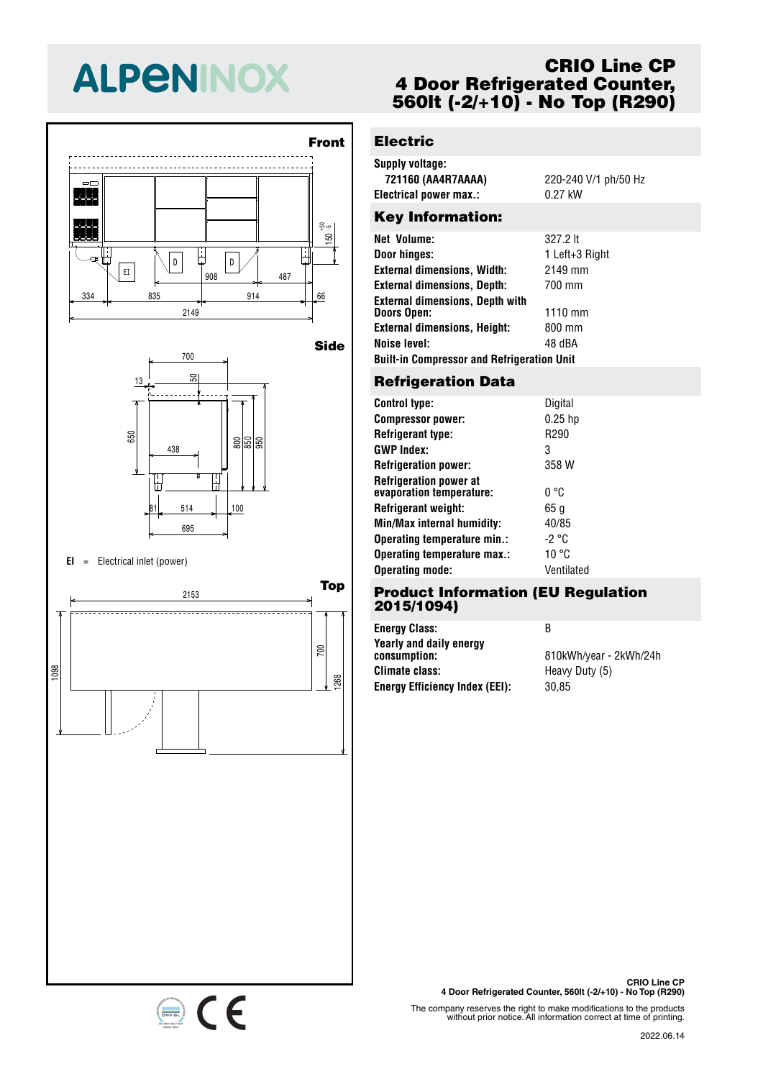# **ALPENINOX**





#### **EI** <sup>=</sup> Electrical inlet (power)

334 835 914 66 <sup>908</sup> <sup>487</sup> EI



### **CRIO Line CP 4 Door Refrigerated Counter, 560lt (-2/+10) - No Top (R290)**

## **Electric**

| Supply voltage:        |                      |
|------------------------|----------------------|
| 721160 (AA4R7AAAA)     | 220-240 V/1 ph/50 Hz |
| Electrical power max.: | 0.27 kW              |
|                        |                      |

#### Key Information:

| Net Volume:                                       | 327.2 lt       |  |
|---------------------------------------------------|----------------|--|
| Door hinges:                                      | 1 Left+3 Right |  |
| <b>External dimensions, Width:</b>                | 2149 mm        |  |
| <b>External dimensions, Depth:</b>                | 700 mm         |  |
| <b>External dimensions, Depth with</b>            |                |  |
| Doors Open:                                       | $1110$ mm      |  |
| <b>External dimensions, Height:</b>               | 800 mm         |  |
| Noise level:                                      | 48 dBA         |  |
| <b>Built-in Compressor and Refrigeration Unit</b> |                |  |
|                                                   |                |  |

#### 700 **Refrigeration Data**

| <b>Control type:</b>                                      | Digital    |
|-----------------------------------------------------------|------------|
| <b>Compressor power:</b>                                  | $0.25$ hp  |
| <b>Refrigerant type:</b>                                  | R290       |
| <b>GWP Index:</b>                                         | 3          |
| <b>Refrigeration power:</b>                               | 358 W      |
| <b>Refrigeration power at</b><br>evaporation temperature: | በ °C       |
| Refrigerant weight:                                       | 65 g       |
| Min/Max internal humidity:                                | 40/85      |
| Operating temperature min.:                               | -2 °C      |
| Operating temperature max.:                               | 10 °C      |
| <b>Operating mode:</b>                                    | Ventilated |

#### uc  $-0.0, 0.0$ **Product Information (EU Regulation 2015/1094)**

| <b>Energy Class:</b>                    | в                      |
|-----------------------------------------|------------------------|
| Yearly and daily energy<br>consumption: | 810kWh/year - 2kWh/24h |
| <b>Climate class:</b>                   | Heavy Duty (5)         |
| <b>Energy Efficiency Index (EEI):</b>   | 30.85                  |

The company reserves the right to make modifications to the products without prior notice. All information correct at time of printing.